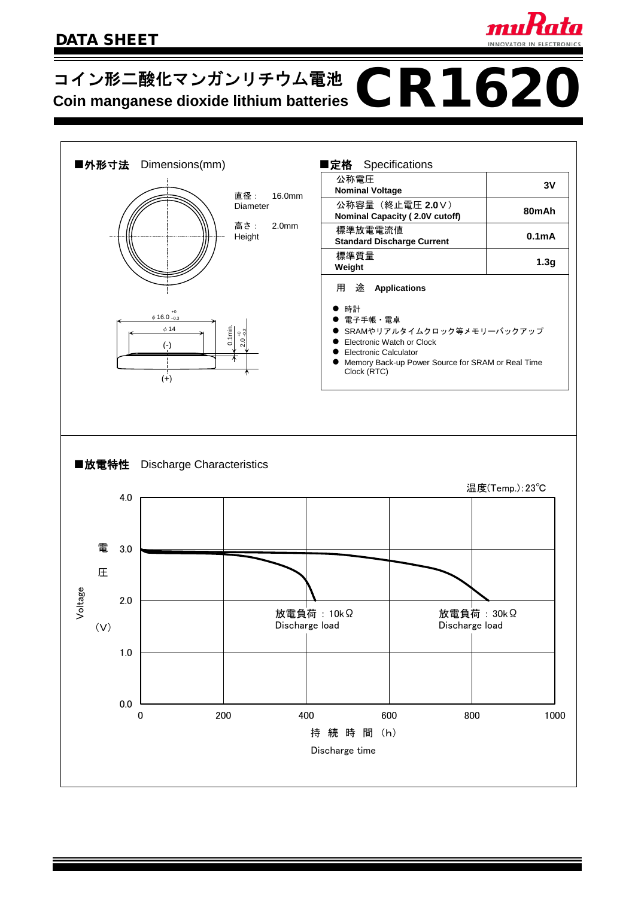

# コイン形二酸化マンガンリチウム電池 **OR1620**<br>Coin manganese dioxide lithium batteries CR1620